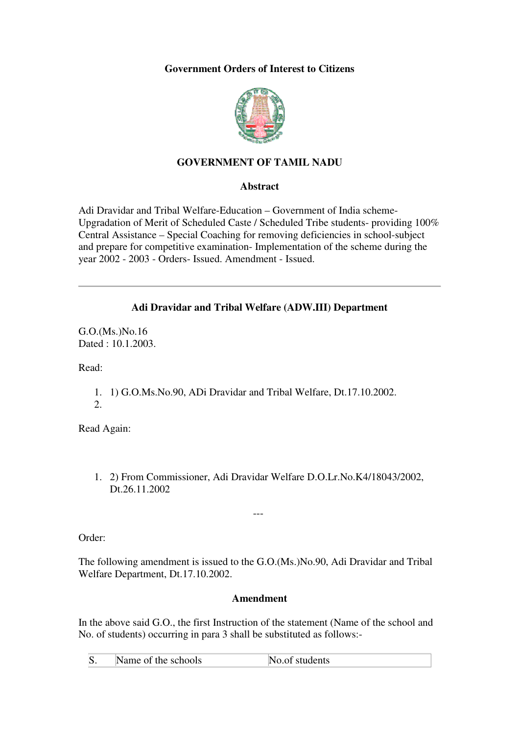## **Government Orders of Interest to Citizens**



# **GOVERNMENT OF TAMIL NADU**

#### **Abstract**

Adi Dravidar and Tribal Welfare-Education – Government of India scheme-Upgradation of Merit of Scheduled Caste / Scheduled Tribe students- providing 100% Central Assistance – Special Coaching for removing deficiencies in school-subject and prepare for competitive examination- Implementation of the scheme during the year 2002 - 2003 - Orders- Issued. Amendment - Issued.

### **Adi Dravidar and Tribal Welfare (ADW.III) Department**

G.O.(Ms.)No.16 Dated : 10.1.2003.

Read:

1. 1) G.O.Ms.No.90, ADi Dravidar and Tribal Welfare, Dt.17.10.2002. 2.

Read Again:

1. 2) From Commissioner, Adi Dravidar Welfare D.O.Lr.No.K4/18043/2002, Dt.26.11.2002

---

Order:

The following amendment is issued to the G.O.(Ms.)No.90, Adi Dravidar and Tribal Welfare Department, Dt.17.10.2002.

#### **Amendment**

In the above said G.O., the first Instruction of the statement (Name of the school and No. of students) occurring in para 3 shall be substituted as follows:-

| $\overline{\mathbf{C}}$<br>Name of the schools<br>No.of students |
|------------------------------------------------------------------|
|------------------------------------------------------------------|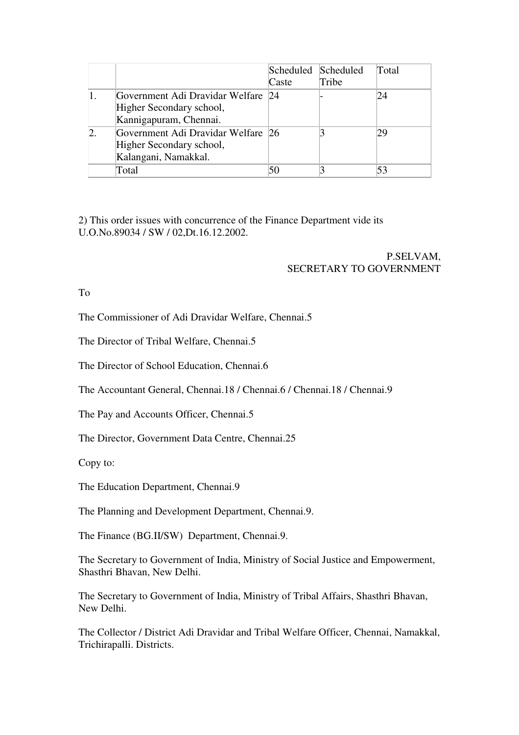|                                                                                          | Scheduled Scheduled<br>Caste | Tribe | Total |
|------------------------------------------------------------------------------------------|------------------------------|-------|-------|
| Government Adi Dravidar Welfare 24<br>Higher Secondary school,<br>Kannigapuram, Chennai. |                              |       | 24    |
| Government Adi Dravidar Welfare 26<br>Higher Secondary school,<br>Kalangani, Namakkal.   |                              |       | 29    |
| Total                                                                                    | 50                           |       | 53    |

2) This order issues with concurrence of the Finance Department vide its U.O.No.89034 / SW / 02,Dt.16.12.2002.

> P.SELVAM, SECRETARY TO GOVERNMENT

To

The Commissioner of Adi Dravidar Welfare, Chennai.5

The Director of Tribal Welfare, Chennai.5

The Director of School Education, Chennai.6

The Accountant General, Chennai.18 / Chennai.6 / Chennai.18 / Chennai.9

The Pay and Accounts Officer, Chennai.5

The Director, Government Data Centre, Chennai.25

Copy to:

The Education Department, Chennai.9

The Planning and Development Department, Chennai.9.

The Finance (BG.II/SW) Department, Chennai.9.

The Secretary to Government of India, Ministry of Social Justice and Empowerment, Shasthri Bhavan, New Delhi.

The Secretary to Government of India, Ministry of Tribal Affairs, Shasthri Bhavan, New Delhi.

The Collector / District Adi Dravidar and Tribal Welfare Officer, Chennai, Namakkal, Trichirapalli. Districts.